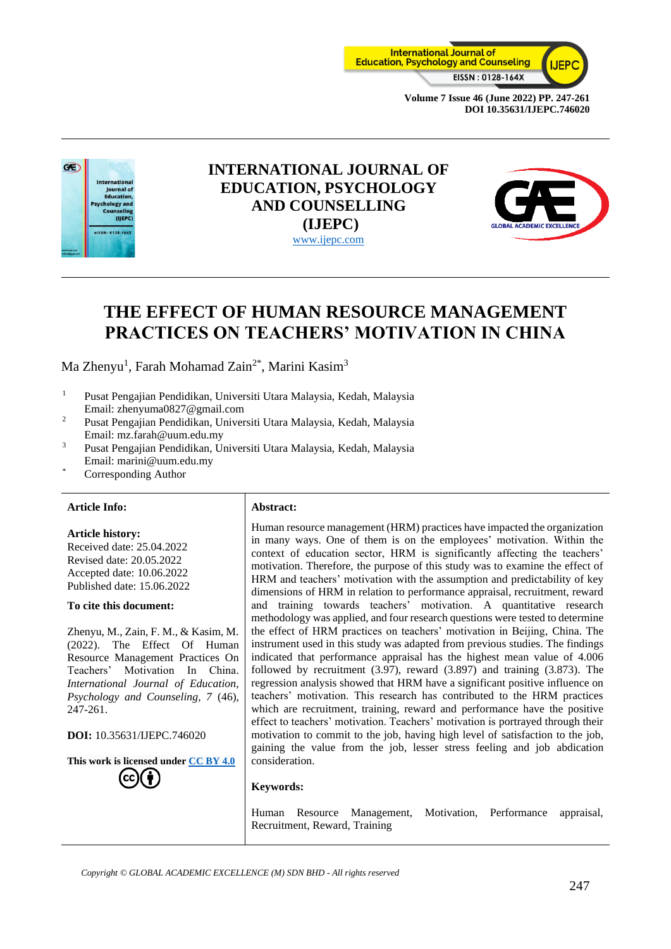



## **INTERNATIONAL JOURNAL OF EDUCATION, PSYCHOLOGY AND COUNSELLING (IJEPC)** [www.ijepc.com](http://www.ijepc.com/)



# **THE EFFECT OF HUMAN RESOURCE MANAGEMENT PRACTICES ON TEACHERS' MOTIVATION IN CHINA**

Ma Zhenyu<sup>1</sup>, Farah Mohamad Zain<sup>2\*</sup>, Marini Kasim<sup>3</sup>

- <sup>1</sup> Pusat Pengajian Pendidikan, Universiti Utara Malaysia, Kedah, Malaysia Email: zhenyuma0827@gmail.com
- <sup>2</sup> Pusat Pengajian Pendidikan, Universiti Utara Malaysia, Kedah, Malaysia Email: mz.farah@uum.edu.my
- <sup>3</sup> Pusat Pengajian Pendidikan, Universiti Utara Malaysia, Kedah, Malaysia Email: marini@uum.edu.my
- Corresponding Author

#### **Article Info: Abstract:**

#### **Article history:**

Received date: 25.04.2022 Revised date: 20.05.2022 Accepted date: 10.06.2022 Published date: 15.06.2022

#### **To cite this document:**

Zhenyu, M., Zain, F. M., & Kasim, M. (2022). The Effect Of Human Resource Management Practices On Teachers' Motivation In China. *International Journal of Education, Psychology and Counseling, 7* (46), 247-261.

**DOI:** 10.35631/IJEPC.746020

**This work is licensed under [CC BY 4.0](https://creativecommons.org/licenses/by/4.0/?ref=chooser-v1)**

Human resource management (HRM) practices have impacted the organization in many ways. One of them is on the employees' motivation. Within the context of education sector, HRM is significantly affecting the teachers' motivation. Therefore, the purpose of this study was to examine the effect of HRM and teachers' motivation with the assumption and predictability of key dimensions of HRM in relation to performance appraisal, recruitment, reward and training towards teachers' motivation. A quantitative research methodology was applied, and four research questions were tested to determine the effect of HRM practices on teachers' motivation in Beijing, China. The instrument used in this study was adapted from previous studies. The findings indicated that performance appraisal has the highest mean value of 4.006 followed by recruitment (3.97), reward (3.897) and training (3.873). The regression analysis showed that HRM have a significant positive influence on teachers' motivation. This research has contributed to the HRM practices which are recruitment, training, reward and performance have the positive effect to teachers' motivation. Teachers' motivation is portrayed through their motivation to commit to the job, having high level of satisfaction to the job, gaining the value from the job, lesser stress feeling and job abdication consideration.

#### **Keywords:**

Human Resource Management, Motivation, Performance appraisal, Recruitment, Reward, Training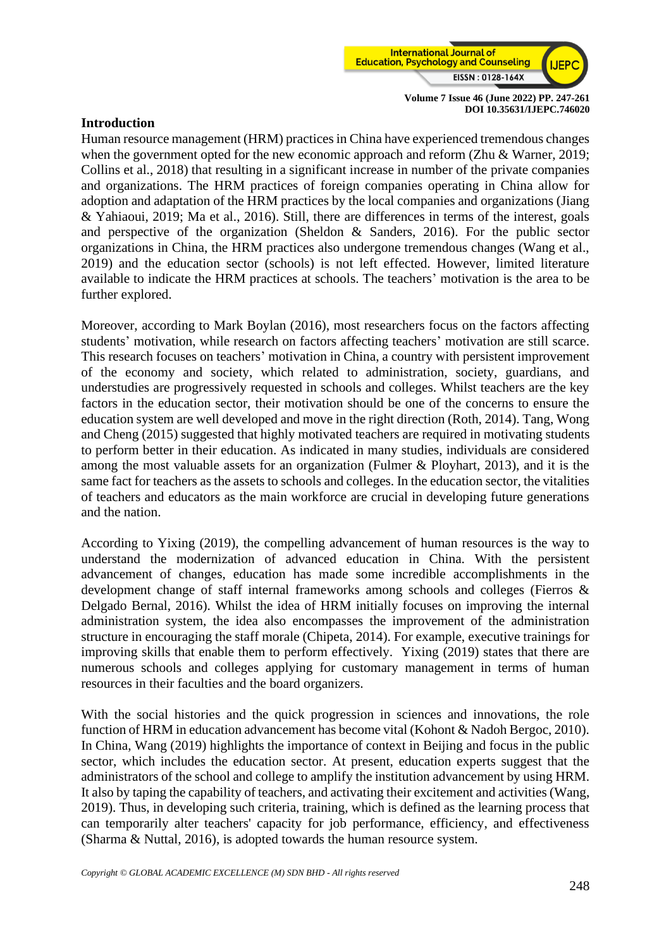

#### **Introduction**

Human resource management (HRM) practices in China have experienced tremendous changes when the government opted for the new economic approach and reform (Zhu & Warner, 2019; Collins et al., 2018) that resulting in a significant increase in number of the private companies and organizations. The HRM practices of foreign companies operating in China allow for adoption and adaptation of the HRM practices by the local companies and organizations (Jiang & Yahiaoui, 2019; Ma et al., 2016). Still, there are differences in terms of the interest, goals and perspective of the organization (Sheldon & Sanders, 2016). For the public sector organizations in China, the HRM practices also undergone tremendous changes (Wang et al., 2019) and the education sector (schools) is not left effected. However, limited literature available to indicate the HRM practices at schools. The teachers' motivation is the area to be further explored.

Moreover, according to Mark Boylan (2016), most researchers focus on the factors affecting students' motivation, while research on factors affecting teachers' motivation are still scarce. This research focuses on teachers' motivation in China, a country with persistent improvement of the economy and society, which related to administration, society, guardians, and understudies are progressively requested in schools and colleges. Whilst teachers are the key factors in the education sector, their motivation should be one of the concerns to ensure the education system are well developed and move in the right direction (Roth, 2014). Tang, Wong and Cheng (2015) suggested that highly motivated teachers are required in motivating students to perform better in their education. As indicated in many studies, individuals are considered among the most valuable assets for an organization (Fulmer & Ployhart, 2013), and it is the same fact for teachers as the assets to schools and colleges. In the education sector, the vitalities of teachers and educators as the main workforce are crucial in developing future generations and the nation.

According to Yixing (2019), the compelling advancement of human resources is the way to understand the modernization of advanced education in China. With the persistent advancement of changes, education has made some incredible accomplishments in the development change of staff internal frameworks among schools and colleges (Fierros & Delgado Bernal, 2016). Whilst the idea of HRM initially focuses on improving the internal administration system, the idea also encompasses the improvement of the administration structure in encouraging the staff morale (Chipeta, 2014). For example, executive trainings for improving skills that enable them to perform effectively. Yixing (2019) states that there are numerous schools and colleges applying for customary management in terms of human resources in their faculties and the board organizers.

With the social histories and the quick progression in sciences and innovations, the role function of HRM in education advancement has become vital (Kohont & Nadoh Bergoc, 2010). In China, Wang (2019) highlights the importance of context in Beijing and focus in the public sector, which includes the education sector. At present, education experts suggest that the administrators of the school and college to amplify the institution advancement by using HRM. It also by taping the capability of teachers, and activating their excitement and activities (Wang, 2019). Thus, in developing such criteria, training, which is defined as the learning process that can temporarily alter teachers' capacity for job performance, efficiency, and effectiveness (Sharma & Nuttal, 2016), is adopted towards the human resource system.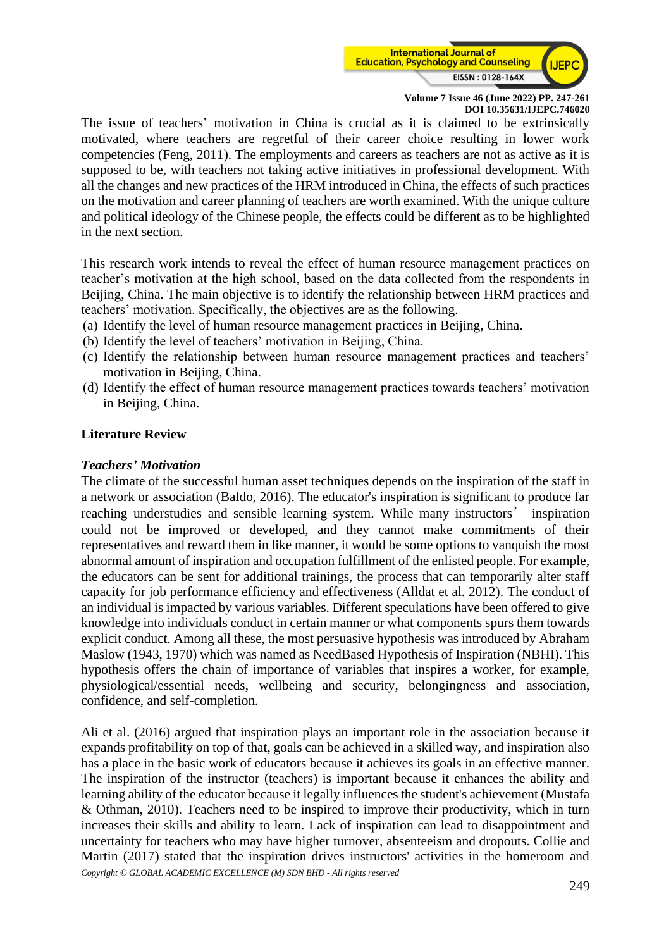

The issue of teachers' motivation in China is crucial as it is claimed to be extrinsically motivated, where teachers are regretful of their career choice resulting in lower work competencies (Feng, 2011). The employments and careers as teachers are not as active as it is supposed to be, with teachers not taking active initiatives in professional development. With all the changes and new practices of the HRM introduced in China, the effects of such practices on the motivation and career planning of teachers are worth examined. With the unique culture and political ideology of the Chinese people, the effects could be different as to be highlighted in the next section.

This research work intends to reveal the effect of human resource management practices on teacher's motivation at the high school, based on the data collected from the respondents in Beijing, China. The main objective is to identify the relationship between HRM practices and teachers' motivation. Specifically, the objectives are as the following.

- (a) Identify the level of human resource management practices in Beijing, China.
- (b) Identify the level of teachers' motivation in Beijing, China.
- (c) Identify the relationship between human resource management practices and teachers' motivation in Beijing, China.
- (d) Identify the effect of human resource management practices towards teachers' motivation in Beijing, China.

## **Literature Review**

#### *Teachers' Motivation*

The climate of the successful human asset techniques depends on the inspiration of the staff in a network or association (Baldo, 2016). The educator's inspiration is significant to produce far reaching understudies and sensible learning system. While many instructors' inspiration could not be improved or developed, and they cannot make commitments of their representatives and reward them in like manner, it would be some options to vanquish the most abnormal amount of inspiration and occupation fulfillment of the enlisted people. For example, the educators can be sent for additional trainings, the process that can temporarily alter staff capacity for job performance efficiency and effectiveness (Alldat et al. 2012). The conduct of an individual is impacted by various variables. Different speculations have been offered to give knowledge into individuals conduct in certain manner or what components spurs them towards explicit conduct. Among all these, the most persuasive hypothesis was introduced by Abraham Maslow (1943, 1970) which was named as NeedBased Hypothesis of Inspiration (NBHI). This hypothesis offers the chain of importance of variables that inspires a worker, for example, physiological/essential needs, wellbeing and security, belongingness and association, confidence, and self-completion.

*Copyright © GLOBAL ACADEMIC EXCELLENCE (M) SDN BHD - All rights reserved* Ali et al. (2016) argued that inspiration plays an important role in the association because it expands profitability on top of that, goals can be achieved in a skilled way, and inspiration also has a place in the basic work of educators because it achieves its goals in an effective manner. The inspiration of the instructor (teachers) is important because it enhances the ability and learning ability of the educator because it legally influences the student's achievement (Mustafa & Othman, 2010). Teachers need to be inspired to improve their productivity, which in turn increases their skills and ability to learn. Lack of inspiration can lead to disappointment and uncertainty for teachers who may have higher turnover, absenteeism and dropouts. Collie and Martin (2017) stated that the inspiration drives instructors' activities in the homeroom and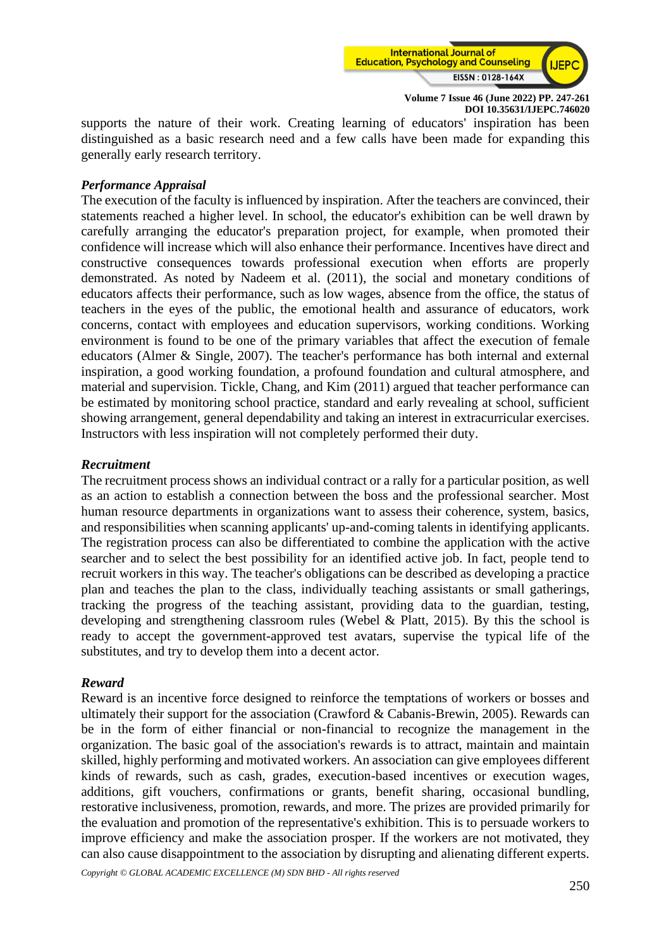

supports the nature of their work. Creating learning of educators' inspiration has been distinguished as a basic research need and a few calls have been made for expanding this generally early research territory.

#### *Performance Appraisal*

The execution of the faculty is influenced by inspiration. After the teachers are convinced, their statements reached a higher level. In school, the educator's exhibition can be well drawn by carefully arranging the educator's preparation project, for example, when promoted their confidence will increase which will also enhance their performance. Incentives have direct and constructive consequences towards professional execution when efforts are properly demonstrated. As noted by Nadeem et al. (2011), the social and monetary conditions of educators affects their performance, such as low wages, absence from the office, the status of teachers in the eyes of the public, the emotional health and assurance of educators, work concerns, contact with employees and education supervisors, working conditions. Working environment is found to be one of the primary variables that affect the execution of female educators (Almer & Single, 2007). The teacher's performance has both internal and external inspiration, a good working foundation, a profound foundation and cultural atmosphere, and material and supervision. Tickle, Chang, and Kim (2011) argued that teacher performance can be estimated by monitoring school practice, standard and early revealing at school, sufficient showing arrangement, general dependability and taking an interest in extracurricular exercises. Instructors with less inspiration will not completely performed their duty.

#### *Recruitment*

The recruitment process shows an individual contract or a rally for a particular position, as well as an action to establish a connection between the boss and the professional searcher. Most human resource departments in organizations want to assess their coherence, system, basics, and responsibilities when scanning applicants' up-and-coming talents in identifying applicants. The registration process can also be differentiated to combine the application with the active searcher and to select the best possibility for an identified active job. In fact, people tend to recruit workers in this way. The teacher's obligations can be described as developing a practice plan and teaches the plan to the class, individually teaching assistants or small gatherings, tracking the progress of the teaching assistant, providing data to the guardian, testing, developing and strengthening classroom rules (Webel & Platt, 2015). By this the school is ready to accept the government-approved test avatars, supervise the typical life of the substitutes, and try to develop them into a decent actor.

#### *Reward*

Reward is an incentive force designed to reinforce the temptations of workers or bosses and ultimately their support for the association (Crawford & Cabanis-Brewin, 2005). Rewards can be in the form of either financial or non-financial to recognize the management in the organization. The basic goal of the association's rewards is to attract, maintain and maintain skilled, highly performing and motivated workers. An association can give employees different kinds of rewards, such as cash, grades, execution-based incentives or execution wages, additions, gift vouchers, confirmations or grants, benefit sharing, occasional bundling, restorative inclusiveness, promotion, rewards, and more. The prizes are provided primarily for the evaluation and promotion of the representative's exhibition. This is to persuade workers to improve efficiency and make the association prosper. If the workers are not motivated, they can also cause disappointment to the association by disrupting and alienating different experts.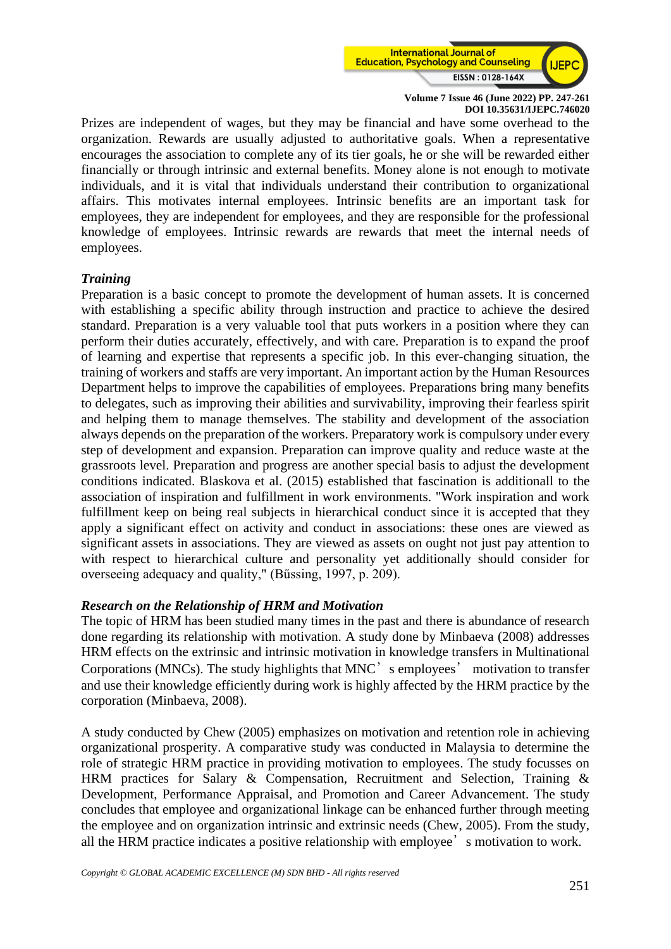

Prizes are independent of wages, but they may be financial and have some overhead to the organization. Rewards are usually adjusted to authoritative goals. When a representative encourages the association to complete any of its tier goals, he or she will be rewarded either financially or through intrinsic and external benefits. Money alone is not enough to motivate individuals, and it is vital that individuals understand their contribution to organizational affairs. This motivates internal employees. Intrinsic benefits are an important task for employees, they are independent for employees, and they are responsible for the professional knowledge of employees. Intrinsic rewards are rewards that meet the internal needs of employees.

## *Training*

Preparation is a basic concept to promote the development of human assets. It is concerned with establishing a specific ability through instruction and practice to achieve the desired standard. Preparation is a very valuable tool that puts workers in a position where they can perform their duties accurately, effectively, and with care. Preparation is to expand the proof of learning and expertise that represents a specific job. In this ever-changing situation, the training of workers and staffs are very important. An important action by the Human Resources Department helps to improve the capabilities of employees. Preparations bring many benefits to delegates, such as improving their abilities and survivability, improving their fearless spirit and helping them to manage themselves. The stability and development of the association always depends on the preparation of the workers. Preparatory work is compulsory under every step of development and expansion. Preparation can improve quality and reduce waste at the grassroots level. Preparation and progress are another special basis to adjust the development conditions indicated. Blaskova et al. (2015) established that fascination is additionall to the association of inspiration and fulfillment in work environments. "Work inspiration and work fulfillment keep on being real subjects in hierarchical conduct since it is accepted that they apply a significant effect on activity and conduct in associations: these ones are viewed as significant assets in associations. They are viewed as assets on ought not just pay attention to with respect to hierarchical culture and personality yet additionally should consider for overseeing adequacy and quality," (Bűssing, 1997, p. 209).

#### *Research on the Relationship of HRM and Motivation*

The topic of HRM has been studied many times in the past and there is abundance of research done regarding its relationship with motivation. A study done by Minbaeva (2008) addresses HRM effects on the extrinsic and intrinsic motivation in knowledge transfers in Multinational Corporations (MNCs). The study highlights that MNC's employees' motivation to transfer and use their knowledge efficiently during work is highly affected by the HRM practice by the corporation (Minbaeva, 2008).

A study conducted by Chew (2005) emphasizes on motivation and retention role in achieving organizational prosperity. A comparative study was conducted in Malaysia to determine the role of strategic HRM practice in providing motivation to employees. The study focusses on HRM practices for Salary & Compensation, Recruitment and Selection, Training & Development, Performance Appraisal, and Promotion and Career Advancement. The study concludes that employee and organizational linkage can be enhanced further through meeting the employee and on organization intrinsic and extrinsic needs (Chew, 2005). From the study, all the HRM practice indicates a positive relationship with employee's motivation to work.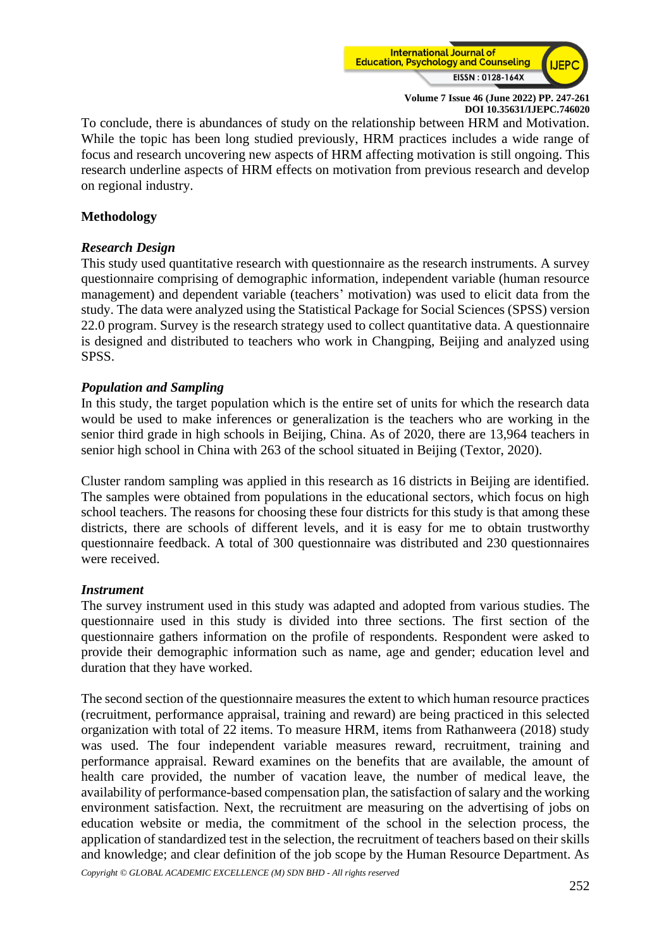

To conclude, there is abundances of study on the relationship between HRM and Motivation. While the topic has been long studied previously, HRM practices includes a wide range of focus and research uncovering new aspects of HRM affecting motivation is still ongoing. This research underline aspects of HRM effects on motivation from previous research and develop on regional industry.

#### **Methodology**

## *Research Design*

This study used quantitative research with questionnaire as the research instruments. A survey questionnaire comprising of demographic information, independent variable (human resource management) and dependent variable (teachers' motivation) was used to elicit data from the study. The data were analyzed using the Statistical Package for Social Sciences (SPSS) version 22.0 program. Survey is the research strategy used to collect quantitative data. A questionnaire is designed and distributed to teachers who work in Changping, Beijing and analyzed using SPSS.

## *Population and Sampling*

In this study, the target population which is the entire set of units for which the research data would be used to make inferences or generalization is the teachers who are working in the senior third grade in high schools in Beijing, China. As of 2020, there are 13,964 teachers in senior high school in China with 263 of the school situated in Beijing (Textor, 2020).

Cluster random sampling was applied in this research as 16 districts in Beijing are identified. The samples were obtained from populations in the educational sectors, which focus on high school teachers. The reasons for choosing these four districts for this study is that among these districts, there are schools of different levels, and it is easy for me to obtain trustworthy questionnaire feedback. A total of 300 questionnaire was distributed and 230 questionnaires were received.

#### *Instrument*

The survey instrument used in this study was adapted and adopted from various studies. The questionnaire used in this study is divided into three sections. The first section of the questionnaire gathers information on the profile of respondents. Respondent were asked to provide their demographic information such as name, age and gender; education level and duration that they have worked.

The second section of the questionnaire measures the extent to which human resource practices (recruitment, performance appraisal, training and reward) are being practiced in this selected organization with total of 22 items. To measure HRM, items from Rathanweera (2018) study was used. The four independent variable measures reward, recruitment, training and performance appraisal. Reward examines on the benefits that are available, the amount of health care provided, the number of vacation leave, the number of medical leave, the availability of performance-based compensation plan, the satisfaction of salary and the working environment satisfaction. Next, the recruitment are measuring on the advertising of jobs on education website or media, the commitment of the school in the selection process, the application of standardized test in the selection, the recruitment of teachers based on their skills and knowledge; and clear definition of the job scope by the Human Resource Department. As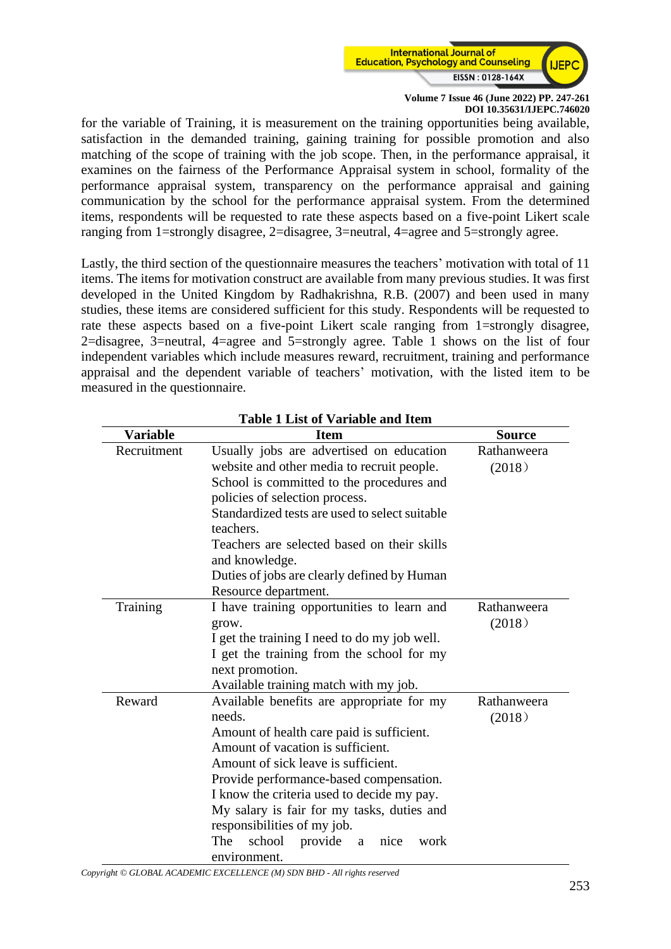

for the variable of Training, it is measurement on the training opportunities being available, satisfaction in the demanded training, gaining training for possible promotion and also matching of the scope of training with the job scope. Then, in the performance appraisal, it examines on the fairness of the Performance Appraisal system in school, formality of the performance appraisal system, transparency on the performance appraisal and gaining communication by the school for the performance appraisal system. From the determined items, respondents will be requested to rate these aspects based on a five-point Likert scale ranging from 1=strongly disagree, 2=disagree, 3=neutral, 4=agree and 5=strongly agree.

Lastly, the third section of the questionnaire measures the teachers' motivation with total of 11 items. The items for motivation construct are available from many previous studies. It was first developed in the United Kingdom by Radhakrishna, R.B. (2007) and been used in many studies, these items are considered sufficient for this study. Respondents will be requested to rate these aspects based on a five-point Likert scale ranging from 1=strongly disagree, 2=disagree, 3=neutral, 4=agree and 5=strongly agree. Table 1 shows on the list of four independent variables which include measures reward, recruitment, training and performance appraisal and the dependent variable of teachers' motivation, with the listed item to be measured in the questionnaire.

| Table I List of Variable and Item |                                                |               |  |  |  |  |  |  |
|-----------------------------------|------------------------------------------------|---------------|--|--|--|--|--|--|
| <b>Variable</b>                   | <b>Item</b>                                    | <b>Source</b> |  |  |  |  |  |  |
| Recruitment                       | Usually jobs are advertised on education       | Rathanweera   |  |  |  |  |  |  |
|                                   | website and other media to recruit people.     | (2018)        |  |  |  |  |  |  |
|                                   | School is committed to the procedures and      |               |  |  |  |  |  |  |
|                                   | policies of selection process.                 |               |  |  |  |  |  |  |
|                                   | Standardized tests are used to select suitable |               |  |  |  |  |  |  |
|                                   | teachers.                                      |               |  |  |  |  |  |  |
|                                   | Teachers are selected based on their skills    |               |  |  |  |  |  |  |
|                                   | and knowledge.                                 |               |  |  |  |  |  |  |
|                                   | Duties of jobs are clearly defined by Human    |               |  |  |  |  |  |  |
|                                   | Resource department.                           |               |  |  |  |  |  |  |
| Training                          | I have training opportunities to learn and     | Rathanweera   |  |  |  |  |  |  |
|                                   | grow.                                          | (2018)        |  |  |  |  |  |  |
|                                   | I get the training I need to do my job well.   |               |  |  |  |  |  |  |
|                                   | I get the training from the school for my      |               |  |  |  |  |  |  |
|                                   | next promotion.                                |               |  |  |  |  |  |  |
|                                   | Available training match with my job.          |               |  |  |  |  |  |  |
| Reward                            | Available benefits are appropriate for my      | Rathanweera   |  |  |  |  |  |  |
|                                   | needs.                                         | (2018)        |  |  |  |  |  |  |
|                                   | Amount of health care paid is sufficient.      |               |  |  |  |  |  |  |
|                                   | Amount of vacation is sufficient.              |               |  |  |  |  |  |  |
|                                   | Amount of sick leave is sufficient.            |               |  |  |  |  |  |  |
|                                   | Provide performance-based compensation.        |               |  |  |  |  |  |  |
|                                   | I know the criteria used to decide my pay.     |               |  |  |  |  |  |  |
|                                   |                                                |               |  |  |  |  |  |  |
|                                   | responsibilities of my job.                    |               |  |  |  |  |  |  |
|                                   | The<br>school<br>provide<br>nice<br>work<br>a  |               |  |  |  |  |  |  |
|                                   | environment.                                   |               |  |  |  |  |  |  |

## **Table 1 List of Variable and Item**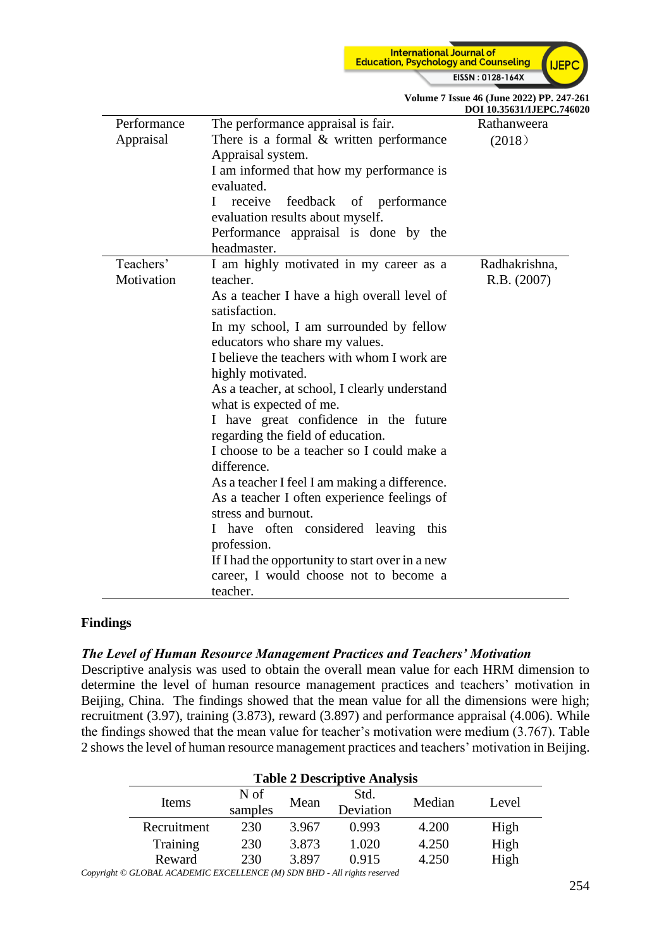

|             |                                                    | DOI 10.35631/IJEPC.746 |  |  |  |
|-------------|----------------------------------------------------|------------------------|--|--|--|
| Performance | The performance appraisal is fair.                 | Rathanweera            |  |  |  |
| Appraisal   | There is a formal $&$ written performance          | (2018)                 |  |  |  |
|             | Appraisal system.                                  |                        |  |  |  |
|             | I am informed that how my performance is           |                        |  |  |  |
|             | evaluated.                                         |                        |  |  |  |
|             | receive<br>feedback of performance<br>$\mathbf{I}$ |                        |  |  |  |
|             | evaluation results about myself.                   |                        |  |  |  |
|             | Performance appraisal is done by the               |                        |  |  |  |
|             | headmaster.                                        |                        |  |  |  |
| Teachers'   | I am highly motivated in my career as a            | Radhakrishna,          |  |  |  |
| Motivation  | teacher.                                           | R.B. (2007)            |  |  |  |
|             | As a teacher I have a high overall level of        |                        |  |  |  |
|             | satisfaction.                                      |                        |  |  |  |
|             | In my school, I am surrounded by fellow            |                        |  |  |  |
|             | educators who share my values.                     |                        |  |  |  |
|             | I believe the teachers with whom I work are        |                        |  |  |  |
|             | highly motivated.                                  |                        |  |  |  |
|             | As a teacher, at school, I clearly understand      |                        |  |  |  |
|             | what is expected of me.                            |                        |  |  |  |
|             | I have great confidence in the future              |                        |  |  |  |
|             | regarding the field of education.                  |                        |  |  |  |
|             | I choose to be a teacher so I could make a         |                        |  |  |  |
|             | difference.                                        |                        |  |  |  |
|             | As a teacher I feel I am making a difference.      |                        |  |  |  |
|             | As a teacher I often experience feelings of        |                        |  |  |  |
|             | stress and burnout.                                |                        |  |  |  |
|             | I have often considered leaving this               |                        |  |  |  |
|             | profession.                                        |                        |  |  |  |
|             | If I had the opportunity to start over in a new    |                        |  |  |  |
|             | career, I would choose not to become a             |                        |  |  |  |
|             | teacher.                                           |                        |  |  |  |

#### **Volume 7 Issue 46 (June 2022) PP. 247-261 020**

#### **Findings**

#### *The Level of Human Resource Management Practices and Teachers' Motivation*

Descriptive analysis was used to obtain the overall mean value for each HRM dimension to determine the level of human resource management practices and teachers' motivation in Beijing, China. The findings showed that the mean value for all the dimensions were high; recruitment (3.97), training (3.873), reward (3.897) and performance appraisal (4.006). While the findings showed that the mean value for teacher's motivation were medium (3.767). Table 2 shows the level of human resource management practices and teachers' motivation in Beijing.

| <b>Table 2 Descriptive Analysis</b> |                 |       |                   |        |       |  |  |
|-------------------------------------|-----------------|-------|-------------------|--------|-------|--|--|
| Items                               | N of<br>samples | Mean  | Std.<br>Deviation | Median | Level |  |  |
| Recruitment                         | 230             | 3.967 | 0.993             | 4.200  | High  |  |  |
| Training                            | 230             | 3.873 | 1.020             | 4.250  | High  |  |  |
| Reward                              | 230             | 3.897 | 0.915             | 4.250  | High  |  |  |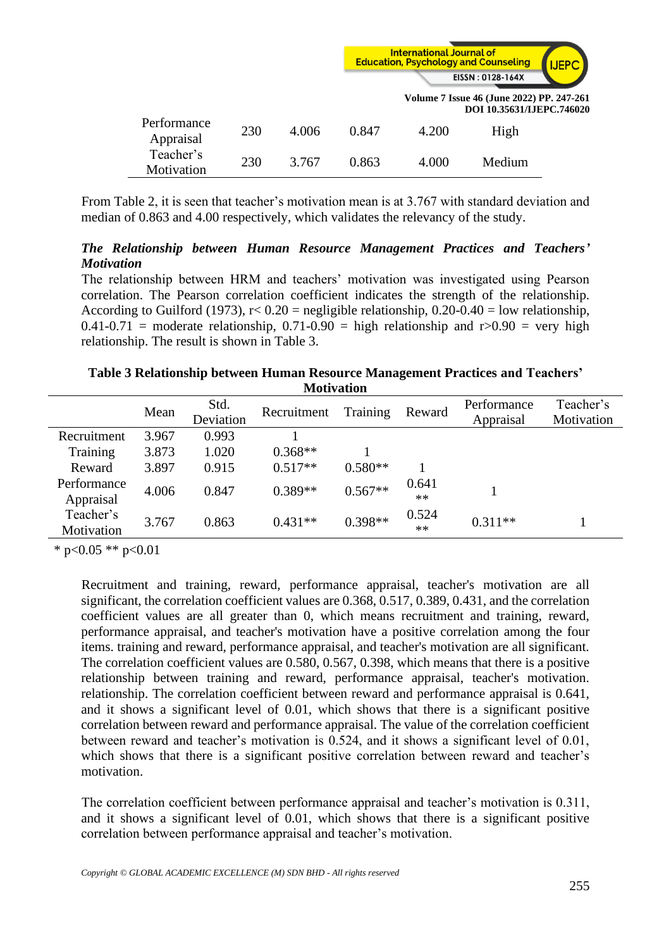

|                          |     |       |       | Volume 7 Issue 46 (June 2022) PP. 247-261 | DOI 10.35631/LJEPC.746020 |  |
|--------------------------|-----|-------|-------|-------------------------------------------|---------------------------|--|
| Performance<br>Appraisal | 230 | 4.006 | 0.847 | 4.200                                     | High                      |  |
| Teacher's<br>Motivation  | 230 | 3.767 | 0.863 | 4.000                                     | Medium                    |  |

From Table 2, it is seen that teacher's motivation mean is at 3.767 with standard deviation and median of 0.863 and 4.00 respectively, which validates the relevancy of the study.

## *The Relationship between Human Resource Management Practices and Teachers' Motivation*

The relationship between HRM and teachers' motivation was investigated using Pearson correlation. The Pearson correlation coefficient indicates the strength of the relationship. According to Guilford (1973),  $r < 0.20$  = negligible relationship,  $0.20$ -0.40 = low relationship,  $0.41-0.71$  = moderate relationship,  $0.71-0.90$  = high relationship and r>0.90 = very high relationship. The result is shown in Table 3.

**Table 3 Relationship between Human Resource Management Practices and Teachers' Motivation**

|             | Mean  | Std.<br>Deviation | Recruitment | Training  | Reward | Performance<br>Appraisal | Teacher's<br>Motivation |
|-------------|-------|-------------------|-------------|-----------|--------|--------------------------|-------------------------|
| Recruitment | 3.967 | 0.993             |             |           |        |                          |                         |
| Training    | 3.873 | 1.020             | $0.368**$   |           |        |                          |                         |
| Reward      | 3.897 | 0.915             | $0.517**$   | $0.580**$ |        |                          |                         |
| Performance | 4.006 | 0.847             | $0.389**$   | $0.567**$ | 0.641  |                          |                         |
| Appraisal   |       |                   |             |           | $**$   |                          |                         |
| Teacher's   | 3.767 | 0.863             | $0.431**$   | $0.398**$ | 0.524  | $0.311**$                |                         |
| Motivation  |       |                   |             |           | $**$   |                          |                         |

\* p<0.05 \*\* p<0.01

Recruitment and training, reward, performance appraisal, teacher's motivation are all significant, the correlation coefficient values are 0.368, 0.517, 0.389, 0.431, and the correlation coefficient values are all greater than 0, which means recruitment and training, reward, performance appraisal, and teacher's motivation have a positive correlation among the four items. training and reward, performance appraisal, and teacher's motivation are all significant. The correlation coefficient values are 0.580, 0.567, 0.398, which means that there is a positive relationship between training and reward, performance appraisal, teacher's motivation. relationship. The correlation coefficient between reward and performance appraisal is 0.641, and it shows a significant level of 0.01, which shows that there is a significant positive correlation between reward and performance appraisal. The value of the correlation coefficient between reward and teacher's motivation is 0.524, and it shows a significant level of 0.01, which shows that there is a significant positive correlation between reward and teacher's motivation.

The correlation coefficient between performance appraisal and teacher's motivation is 0.311, and it shows a significant level of 0.01, which shows that there is a significant positive correlation between performance appraisal and teacher's motivation.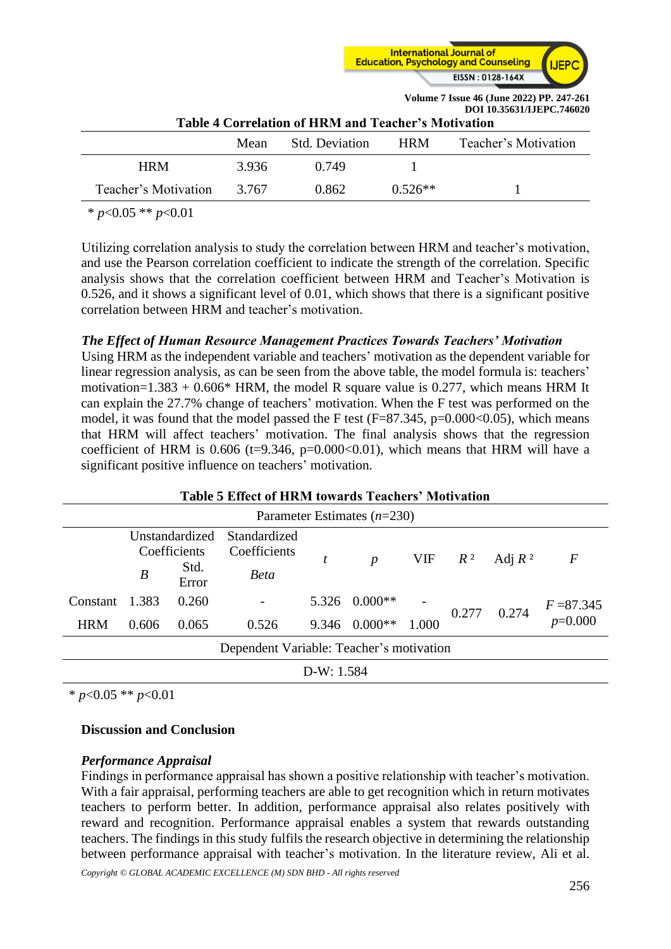

**Volume 7 Issue 46 (June 2022) PP. 247-261**

| DOI 10.35631/IJEPC.746020<br>Table 4 Correlation of HRM and Teacher's Motivation |       |       |           |  |  |  |  |
|----------------------------------------------------------------------------------|-------|-------|-----------|--|--|--|--|
| Teacher's Motivation<br>Std. Deviation<br><b>HRM</b><br>Mean                     |       |       |           |  |  |  |  |
| <b>HRM</b>                                                                       | 3.936 | 0.749 |           |  |  |  |  |
| Teacher's Motivation                                                             | 3.767 | 0.862 | $0.526**$ |  |  |  |  |
|                                                                                  |       |       |           |  |  |  |  |

\* *p*<0.05 \*\* *p*<0.01

Utilizing correlation analysis to study the correlation between HRM and teacher's motivation, and use the Pearson correlation coefficient to indicate the strength of the correlation. Specific analysis shows that the correlation coefficient between HRM and Teacher's Motivation is 0.526, and it shows a significant level of 0.01, which shows that there is a significant positive correlation between HRM and teacher's motivation.

## *The Effect of Human Resource Management Practices Towards Teachers' Motivation*

Using HRM as the independent variable and teachers' motivation as the dependent variable for linear regression analysis, as can be seen from the above table, the model formula is: teachers' motivation= $1.383 + 0.606*$  HRM, the model R square value is 0.277, which means HRM It can explain the 27.7% change of teachers' motivation. When the F test was performed on the model, it was found that the model passed the F test  $(F=87.345, p=0.000<0.05)$ , which means that HRM will affect teachers' motivation. The final analysis shows that the regression coefficient of HRM is  $0.606$  (t=9.346, p=0.000<0.01), which means that HRM will have a significant positive influence on teachers' motivation.

| <b>Table 5 Effect of HRM towards Teachers' Motivation</b> |                  |                                                 |                                             |  |                                |           |       |           |                         |
|-----------------------------------------------------------|------------------|-------------------------------------------------|---------------------------------------------|--|--------------------------------|-----------|-------|-----------|-------------------------|
| Parameter Estimates $(n=230)$                             |                  |                                                 |                                             |  |                                |           |       |           |                         |
|                                                           | $\boldsymbol{B}$ | Unstandardized<br>Coefficients<br>Std.<br>Error | Standardized<br>Coefficients<br><b>Beta</b> |  | $\boldsymbol{p}$               | VIF $R^2$ |       | Adj $R^2$ | $\boldsymbol{F}$        |
| Constant<br><b>HRM</b>                                    | 1.383<br>0.606   | 0.260<br>0.065                                  | 0.526                                       |  | 5.326 0.000**<br>9.346 0.000** | 1.000     | 0.277 | 0.274     | $F = 87.345$<br>p=0.000 |
|                                                           |                  |                                                 | Dependent Variable: Teacher's motivation    |  |                                |           |       |           |                         |

D-W: 1.584

\* *p*<0.05 \*\* *p*<0.01

## **Discussion and Conclusion**

## *Performance Appraisal*

Findings in performance appraisal has shown a positive relationship with teacher's motivation. With a fair appraisal, performing teachers are able to get recognition which in return motivates teachers to perform better. In addition, performance appraisal also relates positively with reward and recognition. Performance appraisal enables a system that rewards outstanding teachers. The findings in this study fulfils the research objective in determining the relationship between performance appraisal with teacher's motivation. In the literature review, Ali et al.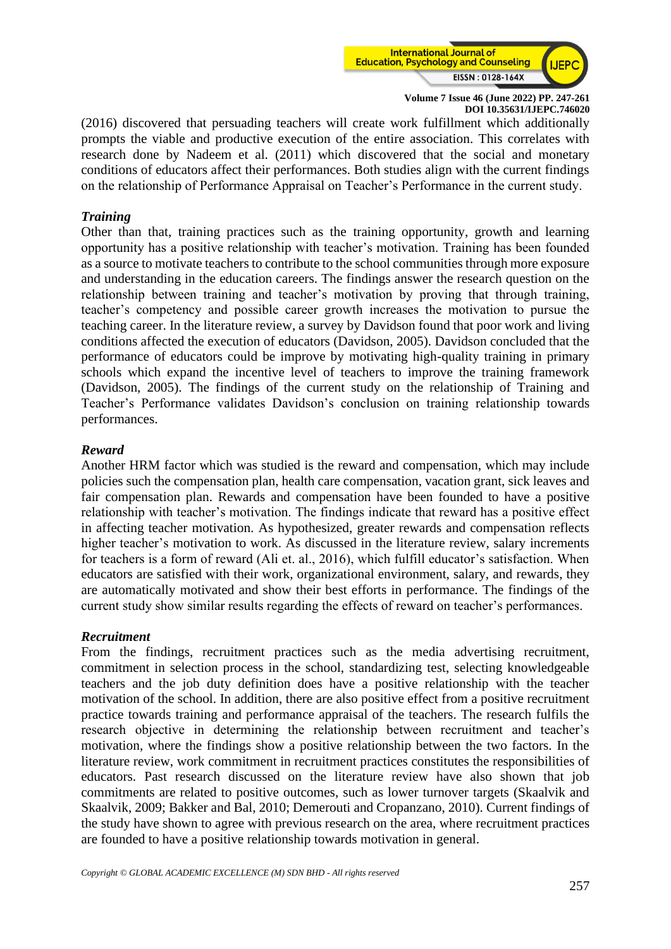

(2016) discovered that persuading teachers will create work fulfillment which additionally prompts the viable and productive execution of the entire association. This correlates with research done by Nadeem et al. (2011) which discovered that the social and monetary conditions of educators affect their performances. Both studies align with the current findings on the relationship of Performance Appraisal on Teacher's Performance in the current study.

#### *Training*

Other than that, training practices such as the training opportunity, growth and learning opportunity has a positive relationship with teacher's motivation. Training has been founded as a source to motivate teachers to contribute to the school communities through more exposure and understanding in the education careers. The findings answer the research question on the relationship between training and teacher's motivation by proving that through training, teacher's competency and possible career growth increases the motivation to pursue the teaching career. In the literature review, a survey by Davidson found that poor work and living conditions affected the execution of educators (Davidson, 2005). Davidson concluded that the performance of educators could be improve by motivating high-quality training in primary schools which expand the incentive level of teachers to improve the training framework (Davidson, 2005). The findings of the current study on the relationship of Training and Teacher's Performance validates Davidson's conclusion on training relationship towards performances.

#### *Reward*

Another HRM factor which was studied is the reward and compensation, which may include policies such the compensation plan, health care compensation, vacation grant, sick leaves and fair compensation plan. Rewards and compensation have been founded to have a positive relationship with teacher's motivation. The findings indicate that reward has a positive effect in affecting teacher motivation. As hypothesized, greater rewards and compensation reflects higher teacher's motivation to work. As discussed in the literature review, salary increments for teachers is a form of reward (Ali et. al., 2016), which fulfill educator's satisfaction. When educators are satisfied with their work, organizational environment, salary, and rewards, they are automatically motivated and show their best efforts in performance. The findings of the current study show similar results regarding the effects of reward on teacher's performances.

#### *Recruitment*

From the findings, recruitment practices such as the media advertising recruitment, commitment in selection process in the school, standardizing test, selecting knowledgeable teachers and the job duty definition does have a positive relationship with the teacher motivation of the school. In addition, there are also positive effect from a positive recruitment practice towards training and performance appraisal of the teachers. The research fulfils the research objective in determining the relationship between recruitment and teacher's motivation, where the findings show a positive relationship between the two factors. In the literature review, work commitment in recruitment practices constitutes the responsibilities of educators. Past research discussed on the literature review have also shown that job commitments are related to positive outcomes, such as lower turnover targets (Skaalvik and Skaalvik, 2009; Bakker and Bal, 2010; Demerouti and Cropanzano, 2010). Current findings of the study have shown to agree with previous research on the area, where recruitment practices are founded to have a positive relationship towards motivation in general.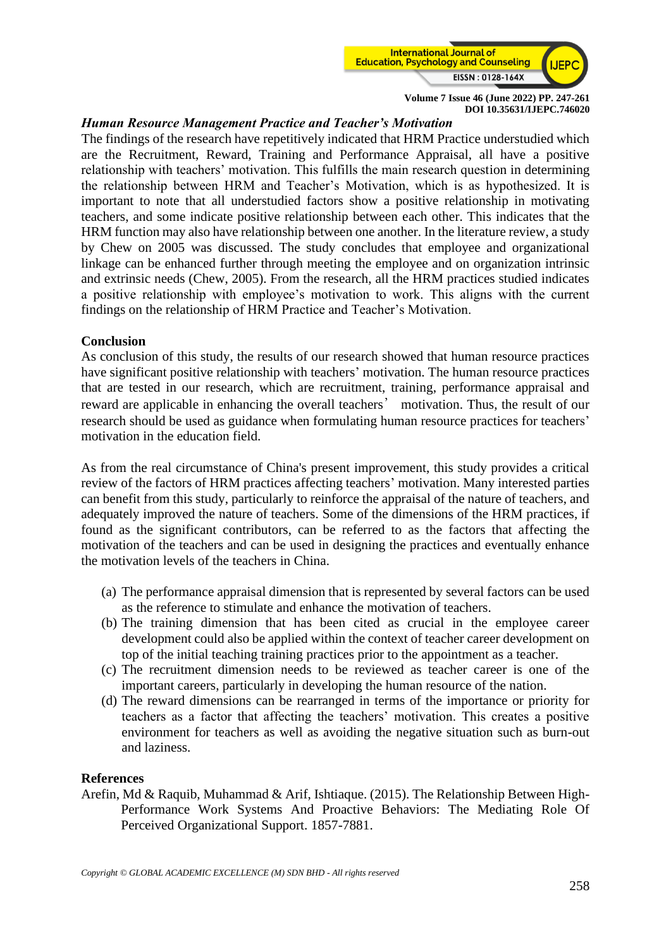

## *Human Resource Management Practice and Teacher's Motivation*

The findings of the research have repetitively indicated that HRM Practice understudied which are the Recruitment, Reward, Training and Performance Appraisal, all have a positive relationship with teachers' motivation. This fulfills the main research question in determining the relationship between HRM and Teacher's Motivation, which is as hypothesized. It is important to note that all understudied factors show a positive relationship in motivating teachers, and some indicate positive relationship between each other. This indicates that the HRM function may also have relationship between one another. In the literature review, a study by Chew on 2005 was discussed. The study concludes that employee and organizational linkage can be enhanced further through meeting the employee and on organization intrinsic and extrinsic needs (Chew, 2005). From the research, all the HRM practices studied indicates a positive relationship with employee's motivation to work. This aligns with the current findings on the relationship of HRM Practice and Teacher's Motivation.

#### **Conclusion**

As conclusion of this study, the results of our research showed that human resource practices have significant positive relationship with teachers' motivation. The human resource practices that are tested in our research, which are recruitment, training, performance appraisal and reward are applicable in enhancing the overall teachers' motivation. Thus, the result of our research should be used as guidance when formulating human resource practices for teachers' motivation in the education field.

As from the real circumstance of China's present improvement, this study provides a critical review of the factors of HRM practices affecting teachers' motivation. Many interested parties can benefit from this study, particularly to reinforce the appraisal of the nature of teachers, and adequately improved the nature of teachers. Some of the dimensions of the HRM practices, if found as the significant contributors, can be referred to as the factors that affecting the motivation of the teachers and can be used in designing the practices and eventually enhance the motivation levels of the teachers in China.

- (a) The performance appraisal dimension that is represented by several factors can be used as the reference to stimulate and enhance the motivation of teachers.
- (b) The training dimension that has been cited as crucial in the employee career development could also be applied within the context of teacher career development on top of the initial teaching training practices prior to the appointment as a teacher.
- (c) The recruitment dimension needs to be reviewed as teacher career is one of the important careers, particularly in developing the human resource of the nation.
- (d) The reward dimensions can be rearranged in terms of the importance or priority for teachers as a factor that affecting the teachers' motivation. This creates a positive environment for teachers as well as avoiding the negative situation such as burn-out and laziness.

#### **References**

Arefin, Md & Raquib, Muhammad & Arif, Ishtiaque. (2015). The Relationship Between High-Performance Work Systems And Proactive Behaviors: The Mediating Role Of Perceived Organizational Support. 1857-7881.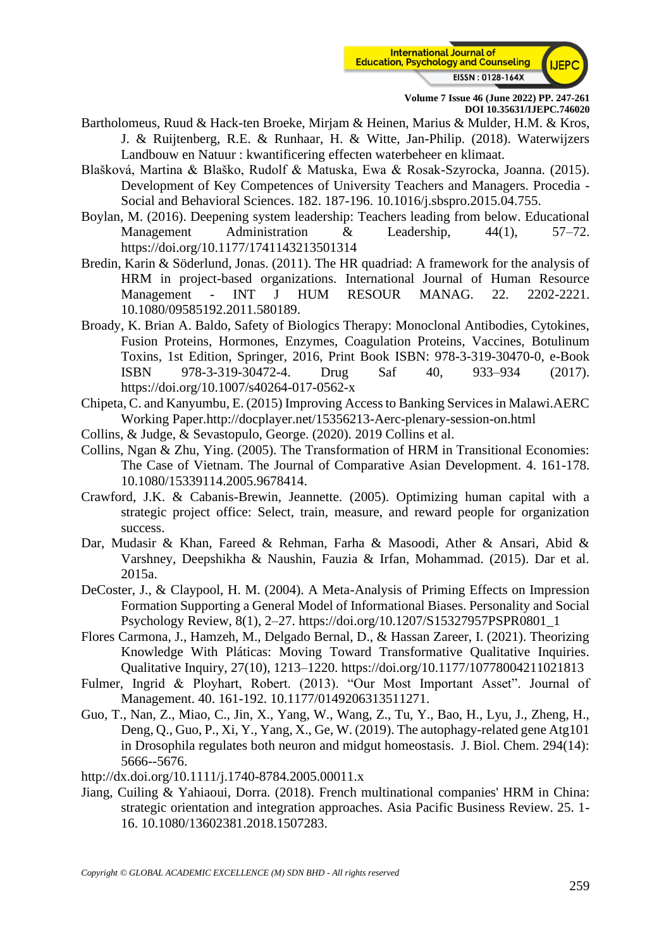

- Bartholomeus, Ruud & Hack-ten Broeke, Mirjam & Heinen, Marius & Mulder, H.M. & Kros, J. & Ruijtenberg, R.E. & Runhaar, H. & Witte, Jan-Philip. (2018). Waterwijzers Landbouw en Natuur : kwantificering effecten waterbeheer en klimaat.
- Blašková, Martina & Blaško, Rudolf & Matuska, Ewa & Rosak-Szyrocka, Joanna. (2015). Development of Key Competences of University Teachers and Managers. Procedia - Social and Behavioral Sciences. 182. 187-196. 10.1016/j.sbspro.2015.04.755.
- Boylan, M. (2016). Deepening system leadership: Teachers leading from below. Educational Management Administration  $\&$  Leadership, 44(1), 57–72. https://doi.org/10.1177/1741143213501314
- Bredin, Karin & Söderlund, Jonas. (2011). The HR quadriad: A framework for the analysis of HRM in project-based organizations. International Journal of Human Resource Management - INT J HUM RESOUR MANAG. 22. 2202-2221. 10.1080/09585192.2011.580189.
- Broady, K. Brian A. Baldo, Safety of Biologics Therapy: Monoclonal Antibodies, Cytokines, Fusion Proteins, Hormones, Enzymes, Coagulation Proteins, Vaccines, Botulinum Toxins, 1st Edition, Springer, 2016, Print Book ISBN: 978-3-319-30470-0, e-Book ISBN 978-3-319-30472-4. Drug Saf 40, 933–934 (2017). https://doi.org/10.1007/s40264-017-0562-x
- Chipeta, C. and Kanyumbu, E. (2015) Improving Access to Banking Services in Malawi.AERC Working Paper.http://docplayer.net/15356213-Aerc-plenary-session-on.html
- Collins, & Judge, & Sevastopulo, George. (2020). 2019 Collins et al.
- Collins, Ngan & Zhu, Ying. (2005). The Transformation of HRM in Transitional Economies: The Case of Vietnam. The Journal of Comparative Asian Development. 4. 161-178. 10.1080/15339114.2005.9678414.
- Crawford, J.K. & Cabanis-Brewin, Jeannette. (2005). Optimizing human capital with a strategic project office: Select, train, measure, and reward people for organization success.
- Dar, Mudasir & Khan, Fareed & Rehman, Farha & Masoodi, Ather & Ansari, Abid & Varshney, Deepshikha & Naushin, Fauzia & Irfan, Mohammad. (2015). Dar et al. 2015a.
- DeCoster, J., & Claypool, H. M. (2004). A Meta-Analysis of Priming Effects on Impression Formation Supporting a General Model of Informational Biases. Personality and Social Psychology Review, 8(1), 2–27. https://doi.org/10.1207/S15327957PSPR0801\_1
- Flores Carmona, J., Hamzeh, M., Delgado Bernal, D., & Hassan Zareer, I. (2021). Theorizing Knowledge With Pláticas: Moving Toward Transformative Qualitative Inquiries. Qualitative Inquiry, 27(10), 1213–1220. https://doi.org/10.1177/10778004211021813
- Fulmer, Ingrid & Ployhart, Robert. (2013). "Our Most Important Asset". Journal of Management. 40. 161-192. 10.1177/0149206313511271.
- Guo, T., Nan, Z., Miao, C., Jin, X., Yang, W., Wang, Z., Tu, Y., Bao, H., Lyu, J., Zheng, H., Deng, Q., Guo, P., Xi, Y., Yang, X., Ge, W. (2019). The autophagy-related gene Atg101 in Drosophila regulates both neuron and midgut homeostasis. J. Biol. Chem. 294(14): 5666--5676.

http://dx.doi.org/10.1111/j.1740-8784.2005.00011.x

Jiang, Cuiling & Yahiaoui, Dorra. (2018). French multinational companies' HRM in China: strategic orientation and integration approaches. Asia Pacific Business Review. 25. 1- 16. 10.1080/13602381.2018.1507283.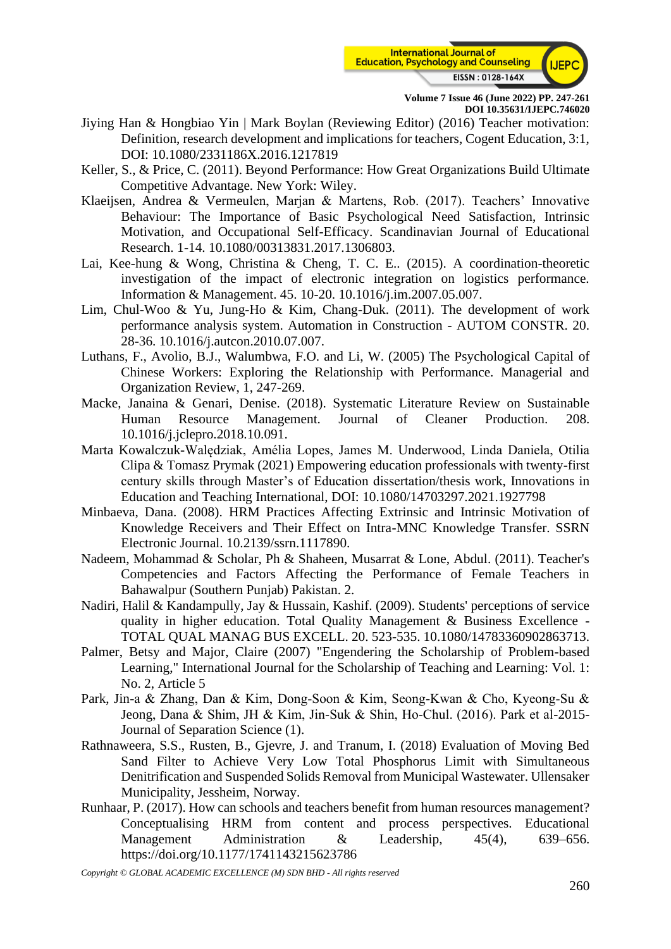

- Jiying Han & Hongbiao Yin | Mark Boylan (Reviewing Editor) (2016) Teacher motivation: Definition, research development and implications for teachers, Cogent Education, 3:1, DOI: 10.1080/2331186X.2016.1217819
- Keller, S., & Price, C. (2011). Beyond Performance: How Great Organizations Build Ultimate Competitive Advantage. New York: Wiley.
- Klaeijsen, Andrea & Vermeulen, Marjan & Martens, Rob. (2017). Teachers' Innovative Behaviour: The Importance of Basic Psychological Need Satisfaction, Intrinsic Motivation, and Occupational Self-Efficacy. Scandinavian Journal of Educational Research. 1-14. 10.1080/00313831.2017.1306803.
- Lai, Kee-hung & Wong, Christina & Cheng, T. C. E.. (2015). A coordination-theoretic investigation of the impact of electronic integration on logistics performance. Information & Management. 45. 10-20. 10.1016/j.im.2007.05.007.
- Lim, Chul-Woo & Yu, Jung-Ho & Kim, Chang-Duk. (2011). The development of work performance analysis system. Automation in Construction - AUTOM CONSTR. 20. 28-36. 10.1016/j.autcon.2010.07.007.
- Luthans, F., Avolio, B.J., Walumbwa, F.O. and Li, W. (2005) The Psychological Capital of Chinese Workers: Exploring the Relationship with Performance. Managerial and Organization Review, 1, 247-269.
- Macke, Janaina & Genari, Denise. (2018). Systematic Literature Review on Sustainable Human Resource Management. Journal of Cleaner Production. 208. 10.1016/j.jclepro.2018.10.091.
- Marta Kowalczuk-Walędziak, Amélia Lopes, James M. Underwood, Linda Daniela, Otilia Clipa & Tomasz Prymak (2021) Empowering education professionals with twenty-first century skills through Master's of Education dissertation/thesis work, Innovations in Education and Teaching International, DOI: 10.1080/14703297.2021.1927798
- Minbaeva, Dana. (2008). HRM Practices Affecting Extrinsic and Intrinsic Motivation of Knowledge Receivers and Their Effect on Intra-MNC Knowledge Transfer. SSRN Electronic Journal. 10.2139/ssrn.1117890.
- Nadeem, Mohammad & Scholar, Ph & Shaheen, Musarrat & Lone, Abdul. (2011). Teacher's Competencies and Factors Affecting the Performance of Female Teachers in Bahawalpur (Southern Punjab) Pakistan. 2.
- Nadiri, Halil & Kandampully, Jay & Hussain, Kashif. (2009). Students' perceptions of service quality in higher education. Total Quality Management & Business Excellence - TOTAL QUAL MANAG BUS EXCELL. 20. 523-535. 10.1080/14783360902863713.
- Palmer, Betsy and Major, Claire (2007) "Engendering the Scholarship of Problem-based Learning," International Journal for the Scholarship of Teaching and Learning: Vol. 1: No. 2, Article 5
- Park, Jin-a & Zhang, Dan & Kim, Dong‐Soon & Kim, Seong-Kwan & Cho, Kyeong‐Su & Jeong, Dana & Shim, JH & Kim, Jin‐Suk & Shin, Ho‐Chul. (2016). Park et al-2015- Journal of Separation Science (1).
- Rathnaweera, S.S., Rusten, B., Gjevre, J. and Tranum, I. (2018) Evaluation of Moving Bed Sand Filter to Achieve Very Low Total Phosphorus Limit with Simultaneous Denitrification and Suspended Solids Removal from Municipal Wastewater. Ullensaker Municipality, Jessheim, Norway.
- Runhaar, P. (2017). How can schools and teachers benefit from human resources management? Conceptualising HRM from content and process perspectives. Educational Management Administration & Leadership, 45(4), 639–656. https://doi.org/10.1177/1741143215623786